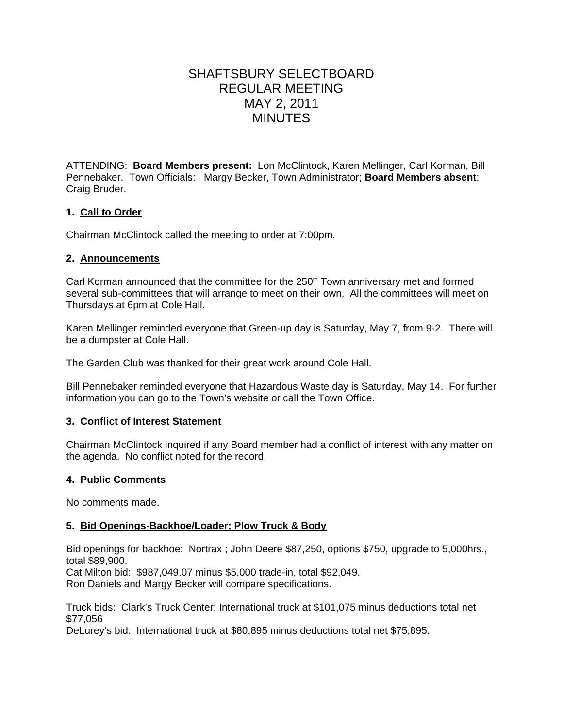# SHAFTSBURY SELECTBOARD REGULAR MEETING MAY 2, 2011 **MINUTES**

ATTENDING: **Board Members present:** Lon McClintock, Karen Mellinger, Carl Korman, Bill Pennebaker. Town Officials: Margy Becker, Town Administrator; **Board Members absent**: Craig Bruder.

# **1. Call to Order**

Chairman McClintock called the meeting to order at 7:00pm.

#### **2. Announcements**

Carl Korman announced that the committee for the  $250<sup>th</sup>$  Town anniversary met and formed several sub-committees that will arrange to meet on their own. All the committees will meet on Thursdays at 6pm at Cole Hall.

Karen Mellinger reminded everyone that Green-up day is Saturday, May 7, from 9-2. There will be a dumpster at Cole Hall.

The Garden Club was thanked for their great work around Cole Hall.

Bill Pennebaker reminded everyone that Hazardous Waste day is Saturday, May 14. For further information you can go to the Town's website or call the Town Office.

## **3. Conflict of Interest Statement**

Chairman McClintock inquired if any Board member had a conflict of interest with any matter on the agenda. No conflict noted for the record.

## **4. Public Comments**

No comments made.

## **5. Bid Openings-Backhoe/Loader; Plow Truck & Body**

Bid openings for backhoe: Nortrax ; John Deere \$87,250, options \$750, upgrade to 5,000hrs., total \$89,900.

Cat Milton bid: \$987,049.07 minus \$5,000 trade-in, total \$92,049.

Ron Daniels and Margy Becker will compare specifications.

Truck bids: Clark's Truck Center; International truck at \$101,075 minus deductions total net \$77,056

DeLurey's bid: International truck at \$80,895 minus deductions total net \$75,895.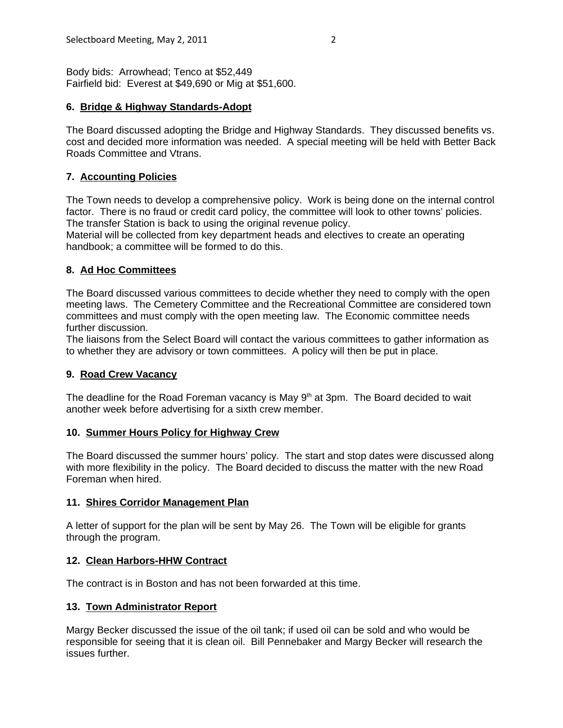Body bids: Arrowhead; Tenco at \$52,449 Fairfield bid: Everest at \$49,690 or Mig at \$51,600.

#### **6. Bridge & Highway Standards-Adopt**

The Board discussed adopting the Bridge and Highway Standards. They discussed benefits vs. cost and decided more information was needed. A special meeting will be held with Better Back Roads Committee and Vtrans.

# **7. Accounting Policies**

The Town needs to develop a comprehensive policy. Work is being done on the internal control factor. There is no fraud or credit card policy, the committee will look to other towns' policies. The transfer Station is back to using the original revenue policy.

Material will be collected from key department heads and electives to create an operating handbook; a committee will be formed to do this.

## **8. Ad Hoc Committees**

The Board discussed various committees to decide whether they need to comply with the open meeting laws. The Cemetery Committee and the Recreational Committee are considered town committees and must comply with the open meeting law. The Economic committee needs further discussion.

The liaisons from the Select Board will contact the various committees to gather information as to whether they are advisory or town committees. A policy will then be put in place.

## **9. Road Crew Vacancy**

The deadline for the Road Foreman vacancy is May  $9<sup>th</sup>$  at 3pm. The Board decided to wait another week before advertising for a sixth crew member.

## **10. Summer Hours Policy for Highway Crew**

The Board discussed the summer hours' policy. The start and stop dates were discussed along with more flexibility in the policy. The Board decided to discuss the matter with the new Road Foreman when hired.

## **11. Shires Corridor Management Plan**

A letter of support for the plan will be sent by May 26. The Town will be eligible for grants through the program.

## **12. Clean Harbors-HHW Contract**

The contract is in Boston and has not been forwarded at this time.

#### **13. Town Administrator Report**

Margy Becker discussed the issue of the oil tank; if used oil can be sold and who would be responsible for seeing that it is clean oil. Bill Pennebaker and Margy Becker will research the issues further.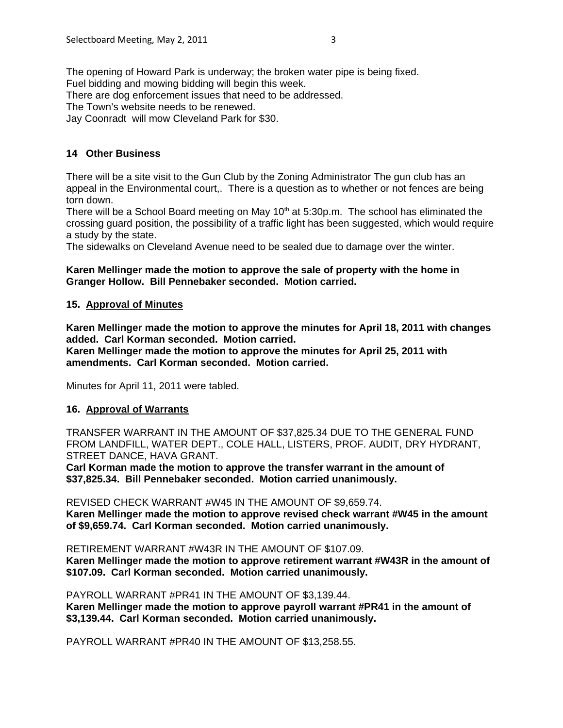The opening of Howard Park is underway; the broken water pipe is being fixed. Fuel bidding and mowing bidding will begin this week. There are dog enforcement issues that need to be addressed. The Town's website needs to be renewed.

Jay Coonradt will mow Cleveland Park for \$30.

# **14 Other Business**

There will be a site visit to the Gun Club by the Zoning Administrator The gun club has an appeal in the Environmental court,. There is a question as to whether or not fences are being torn down.

There will be a School Board meeting on May 10<sup>th</sup> at 5:30p.m. The school has eliminated the crossing guard position, the possibility of a traffic light has been suggested, which would require a study by the state.

The sidewalks on Cleveland Avenue need to be sealed due to damage over the winter.

#### **Karen Mellinger made the motion to approve the sale of property with the home in Granger Hollow. Bill Pennebaker seconded. Motion carried.**

#### **15. Approval of Minutes**

**Karen Mellinger made the motion to approve the minutes for April 18, 2011 with changes added. Carl Korman seconded. Motion carried.**

**Karen Mellinger made the motion to approve the minutes for April 25, 2011 with amendments. Carl Korman seconded. Motion carried.**

Minutes for April 11, 2011 were tabled.

#### **16. Approval of Warrants**

TRANSFER WARRANT IN THE AMOUNT OF \$37,825.34 DUE TO THE GENERAL FUND FROM LANDFILL, WATER DEPT., COLE HALL, LISTERS, PROF. AUDIT, DRY HYDRANT, STREET DANCE, HAVA GRANT.

**Carl Korman made the motion to approve the transfer warrant in the amount of \$37,825.34. Bill Pennebaker seconded. Motion carried unanimously.** 

REVISED CHECK WARRANT #W45 IN THE AMOUNT OF \$9,659.74. **Karen Mellinger made the motion to approve revised check warrant #W45 in the amount**

**of \$9,659.74. Carl Korman seconded. Motion carried unanimously.**

RETIREMENT WARRANT #W43R IN THE AMOUNT OF \$107.09.

**Karen Mellinger made the motion to approve retirement warrant #W43R in the amount of \$107.09. Carl Korman seconded. Motion carried unanimously.**

PAYROLL WARRANT #PR41 IN THE AMOUNT OF \$3,139.44.

**Karen Mellinger made the motion to approve payroll warrant #PR41 in the amount of \$3,139.44. Carl Korman seconded. Motion carried unanimously.**

PAYROLL WARRANT #PR40 IN THE AMOUNT OF \$13,258.55.